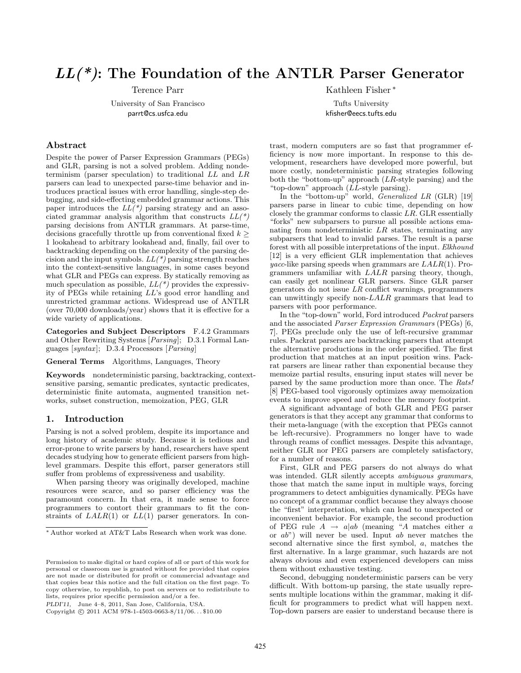# $LL(*)$ : The Foundation of the ANTLR Parser Generator

Terence Parr

University of San Francisco parrt@cs.usfca.edu

# Abstract

Despite the power of Parser Expression Grammars (PEGs) and GLR, parsing is not a solved problem. Adding nondeterminism (parser speculation) to traditional LL and LR parsers can lead to unexpected parse-time behavior and introduces practical issues with error handling, single-step debugging, and side-effecting embedded grammar actions. This paper introduces the  $LL(^{*})$  parsing strategy and an associated grammar analysis algorithm that constructs  $LL(*)$ parsing decisions from ANTLR grammars. At parse-time, decisions gracefully throttle up from conventional fixed  $k \geq$ 1 lookahead to arbitrary lookahead and, finally, fail over to backtracking depending on the complexity of the parsing decision and the input symbols.  $LL({}^*)$  parsing strength reaches into the context-sensitive languages, in some cases beyond what GLR and PEGs can express. By statically removing as much speculation as possible,  $LL(*)$  provides the expressivity of PEGs while retaining LL's good error handling and unrestricted grammar actions. Widespread use of ANTLR (over 70,000 downloads/year) shows that it is effective for a wide variety of applications.

Categories and Subject Descriptors F.4.2 Grammars and Other Rewriting Systems [Parsing]; D.3.1 Formal Languages [ $syntax$ ]; D.3.4 Processors [ $Parsing$ ]

General Terms Algorithms, Languages, Theory

Keywords nondeterministic parsing, backtracking, contextsensitive parsing, semantic predicates, syntactic predicates, deterministic finite automata, augmented transition networks, subset construction, memoization, PEG, GLR

## 1. Introduction

Parsing is not a solved problem, despite its importance and long history of academic study. Because it is tedious and error-prone to write parsers by hand, researchers have spent decades studying how to generate efficient parsers from highlevel grammars. Despite this effort, parser generators still suffer from problems of expressiveness and usability.

When parsing theory was originally developed, machine resources were scarce, and so parser efficiency was the paramount concern. In that era, it made sense to force programmers to contort their grammars to fit the constraints of  $LALR(1)$  or  $LL(1)$  parser generators. In con-

PLDI'11, June 4–8, 2011, San Jose, California, USA.

Copyright © 2011 ACM 978-1-4503-0663-8/11/06...\$10.00

Kathleen Fisher <sup>∗</sup> Tufts University

kfisher@eecs.tufts.edu

trast, modern computers are so fast that programmer efficiency is now more important. In response to this development, researchers have developed more powerful, but more costly, nondeterministic parsing strategies following both the "bottom-up" approach  $(LR\text{-style})$  and the "top-down" approach  $(LL\text{-style})$  parsing).

In the "bottom-up" world,  $\ddot{G}eneralized LR$  (GLR) [19] parsers parse in linear to cubic time, depending on how closely the grammar conforms to classic LR. GLR essentially "forks" new subparsers to pursue all possible actions emanating from nondeterministic LR states, terminating any subparsers that lead to invalid parses. The result is a parse forest with all possible interpretations of the input. Elkhound [12] is a very efficient GLR implementation that achieves *yacc*-like parsing speeds when grammars are  $LALR(1)$ . Programmers unfamiliar with LALR parsing theory, though, can easily get nonlinear GLR parsers. Since GLR parser generators do not issue  $LR$  conflict warnings, programmers can unwittingly specify non-LALR grammars that lead to parsers with poor performance.

In the "top-down" world, Ford introduced Packrat parsers and the associated Parser Expression Grammars (PEGs) [6, 7]. PEGs preclude only the use of left-recursive grammar rules. Packrat parsers are backtracking parsers that attempt the alternative productions in the order specified. The first production that matches at an input position wins. Packrat parsers are linear rather than exponential because they memoize partial results, ensuring input states will never be parsed by the same production more than once. The Rats! [8] PEG-based tool vigorously optimizes away memoization events to improve speed and reduce the memory footprint.

A significant advantage of both GLR and PEG parser generators is that they accept any grammar that conforms to their meta-language (with the exception that PEGs cannot be left-recursive). Programmers no longer have to wade through reams of conflict messages. Despite this advantage, neither GLR nor PEG parsers are completely satisfactory, for a number of reasons.

First, GLR and PEG parsers do not always do what was intended. GLR silently accepts *ambiquous grammars*, those that match the same input in multiple ways, forcing programmers to detect ambiguities dynamically. PEGs have no concept of a grammar conflict because they always choose the "first" interpretation, which can lead to unexpected or inconvenient behavior. For example, the second production of PEG rule  $A \rightarrow a |ab$  (meaning "A matches either a or ab") will never be used. Input ab never matches the second alternative since the first symbol, a, matches the first alternative. In a large grammar, such hazards are not always obvious and even experienced developers can miss them without exhaustive testing.

Second, debugging nondeterministic parsers can be very difficult. With bottom-up parsing, the state usually represents multiple locations within the grammar, making it difficult for programmers to predict what will happen next. Top-down parsers are easier to understand because there is

<sup>∗</sup> Author worked at AT&T Labs Research when work was done.

Permission to make digital or hard copies of all or part of this work for personal or classroom use is granted without fee provided that copies are not made or distributed for profit or commercial advantage and that copies bear this notice and the full citation on the first page. To copy otherwise, to republish, to post on servers or to redistribute to lists, requires prior specific permission and/or a fee.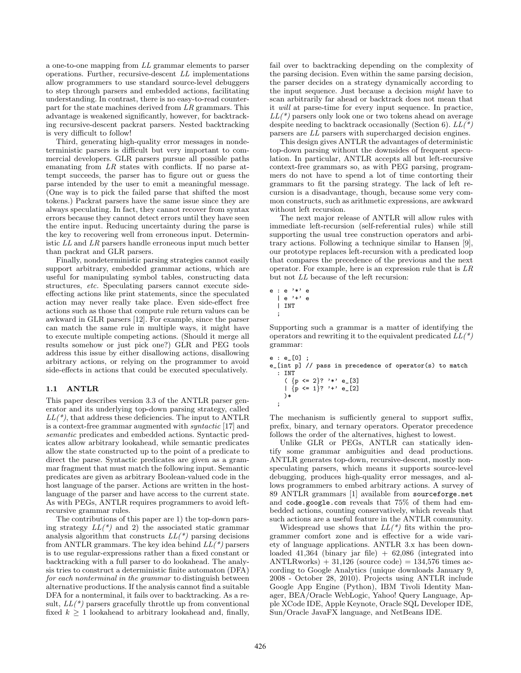a one-to-one mapping from LL grammar elements to parser operations. Further, recursive-descent LL implementations allow programmers to use standard source-level debuggers to step through parsers and embedded actions, facilitating understanding. In contrast, there is no easy-to-read counterpart for the state machines derived from LR grammars. This advantage is weakened significantly, however, for backtracking recursive-descent packrat parsers. Nested backtracking is very difficult to follow!

Third, generating high-quality error messages in nondeterministic parsers is difficult but very important to commercial developers. GLR parsers pursue all possible paths emanating from LR states with conflicts. If no parse attempt succeeds, the parser has to figure out or guess the parse intended by the user to emit a meaningful message. (One way is to pick the failed parse that shifted the most tokens.) Packrat parsers have the same issue since they are always speculating. In fact, they cannot recover from syntax errors because they cannot detect errors until they have seen the entire input. Reducing uncertainty during the parse is the key to recovering well from erroneous input. Deterministic LL and LR parsers handle erroneous input much better than packrat and GLR parsers.

Finally, nondeterministic parsing strategies cannot easily support arbitrary, embedded grammar actions, which are useful for manipulating symbol tables, constructing data structures, etc. Speculating parsers cannot execute sideeffecting actions like print statements, since the speculated action may never really take place. Even side-effect free actions such as those that compute rule return values can be awkward in GLR parsers [12]. For example, since the parser can match the same rule in multiple ways, it might have to execute multiple competing actions. (Should it merge all results somehow or just pick one?) GLR and PEG tools address this issue by either disallowing actions, disallowing arbitrary actions, or relying on the programmer to avoid side-effects in actions that could be executed speculatively.

#### 1.1 ANTLR

This paper describes version 3.3 of the ANTLR parser generator and its underlying top-down parsing strategy, called  $LL$ <sup>\*</sup>), that address these deficiencies. The input to ANTLR is a context-free grammar augmented with syntactic [17] and semantic predicates and embedded actions. Syntactic predicates allow arbitrary lookahead, while semantic predicates allow the state constructed up to the point of a predicate to direct the parse. Syntactic predicates are given as a grammar fragment that must match the following input. Semantic predicates are given as arbitrary Boolean-valued code in the host language of the parser. Actions are written in the hostlanguage of the parser and have access to the current state. As with PEGs, ANTLR requires programmers to avoid leftrecursive grammar rules.

The contributions of this paper are 1) the top-down parsing strategy  $LL(^{*})$  and 2) the associated static grammar analysis algorithm that constructs  $LL(*)$  parsing decisions from ANTLR grammars. The key idea behind  $LL(^*)$  parsers is to use regular-expressions rather than a fixed constant or backtracking with a full parser to do lookahead. The analysis tries to construct a deterministic finite automaton (DFA) for each nonterminal in the grammar to distinguish between alternative productions. If the analysis cannot find a suitable DFA for a nonterminal, it fails over to backtracking. As a result,  $LL(^{*})$  parsers gracefully throttle up from conventional fixed  $k \geq 1$  lookahead to arbitrary lookahead and, finally, fail over to backtracking depending on the complexity of the parsing decision. Even within the same parsing decision, the parser decides on a strategy dynamically according to the input sequence. Just because a decision might have to scan arbitrarily far ahead or backtrack does not mean that it will at parse-time for every input sequence. In practice,  $LL$ <sup>\*</sup>) parsers only look one or two tokens ahead on average despite needing to backtrack occasionally (Section 6).  $LL(*)$ parsers are LL parsers with supercharged decision engines.

This design gives ANTLR the advantages of deterministic top-down parsing without the downsides of frequent speculation. In particular, ANTLR accepts all but left-recursive context-free grammars so, as with PEG parsing, programmers do not have to spend a lot of time contorting their grammars to fit the parsing strategy. The lack of left recursion is a disadvantage, though, because some very common constructs, such as arithmetic expressions, are awkward without left recursion.

The next major release of ANTLR will allow rules with immediate left-recursion (self-referential rules) while still supporting the usual tree construction operators and arbitrary actions. Following a technique similar to Hansen [9], our prototype replaces left-recursion with a predicated loop that compares the precedence of the previous and the next operator. For example, here is an expression rule that is LR but not LL because of the left recursion:

```
e : e '*' e
| e '+' e
| INT
 ;
```
Supporting such a grammar is a matter of identifying the operators and rewriting it to the equivalent predicated  $LL(*)$ grammar:

 $e : e$   $[0]$  : e\_[int p] // pass in precedence of operator(s) to match : INT  $({p \leq 2}$ ? '\*' e\_[3]  $|\nvert p \leq 1$ ? '+' e\_[2] )\* ;

The mechanism is sufficiently general to support suffix, prefix, binary, and ternary operators. Operator precedence follows the order of the alternatives, highest to lowest.

Unlike GLR or PEGs, ANTLR can statically identify some grammar ambiguities and dead productions. ANTLR generates top-down, recursive-descent, mostly nonspeculating parsers, which means it supports source-level debugging, produces high-quality error messages, and allows programmers to embed arbitrary actions. A survey of 89 ANTLR grammars [1] available from sourceforge.net and code.google.com reveals that 75% of them had embedded actions, counting conservatively, which reveals that such actions are a useful feature in the ANTLR community.

Widespread use shows that  $LL(^{*})$  fits within the programmer comfort zone and is effective for a wide variety of language applications. ANTLR 3.x has been downloaded 41,364 (binary jar file)  $+ 62,086$  (integrated into ANTLRworks) +  $31,126$  (source code) =  $134,576$  times according to Google Analytics (unique downloads January 9, 2008 - October 28, 2010). Projects using ANTLR include Google App Engine (Python), IBM Tivoli Identity Manager, BEA/Oracle WebLogic, Yahoo! Query Language, Apple XCode IDE, Apple Keynote, Oracle SQL Developer IDE, Sun/Oracle JavaFX language, and NetBeans IDE.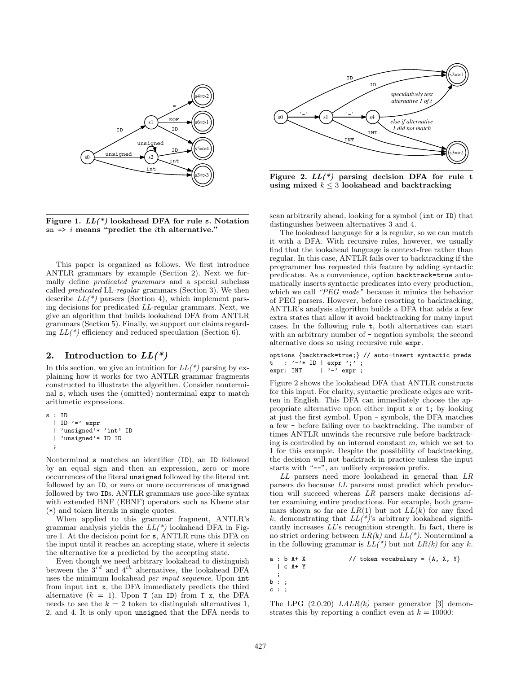

Figure 1.  $LL(*)$  lookahead DFA for rule s. Notation  $sn \Rightarrow i$  means "predict the *i*th alternative."

This paper is organized as follows. We first introduce ANTLR grammars by example (Section 2). Next we formally define predicated grammars and a special subclass called predicated LL-regular grammars (Section 3). We then describe  $LL(^{*})$  parsers (Section 4), which implement parsing decisions for predicated LL-regular grammars. Next, we give an algorithm that builds lookahead DFA from ANTLR grammars (Section 5). Finally, we support our claims regarding  $LL$ <sup>\*</sup>) efficiency and reduced speculation (Section 6).

## 2. Introduction to  $LL(*)$

In this section, we give an intuition for  $LL$ <sup>\*</sup>) parsing by explaining how it works for two ANTLR grammar fragments constructed to illustrate the algorithm. Consider nonterminal s, which uses the (omitted) nonterminal expr to match arithmetic expressions.

```
s : ID
 | ID '=' expr
  'unsigned'* 'int' ID
 | 'unsigned'* ID ID
 ;
```
Nonterminal s matches an identifier (ID), an ID followed by an equal sign and then an expression, zero or more occurrences of the literal unsigned followed by the literal int followed by an ID, or zero or more occurrences of unsigned followed by two IDs. ANTLR grammars use yacc-like syntax with extended BNF (EBNF) operators such as Kleene star (\*) and token literals in single quotes.

When applied to this grammar fragment, ANTLR's grammar analysis yields the  $LL$ <sup>\*</sup>) lookahead DFA in Figure 1. At the decision point for s, ANTLR runs this DFA on the input until it reaches an accepting state, where it selects the alternative for s predicted by the accepting state.

Even though we need arbitrary lookahead to distinguish between the  $3^{rd}$  and  $4^{th}$  alternatives, the lookahead DFA uses the minimum lookahead per input sequence. Upon int from input int x, the DFA immediately predicts the third alternative  $(k = 1)$ . Upon T (an ID) from T x, the DFA needs to see the  $k = 2$  token to distinguish alternatives 1, 2, and 4. It is only upon unsigned that the DFA needs to



Figure 2.  $LL$ <sup>\*</sup>) parsing decision DFA for rule t using mixed  $k \leq 3$  lookahead and backtracking

scan arbitrarily ahead, looking for a symbol (int or ID) that distinguishes between alternatives 3 and 4.

The lookahead language for s is regular, so we can match it with a DFA. With recursive rules, however, we usually find that the lookahead language is context-free rather than regular. In this case, ANTLR fails over to backtracking if the programmer has requested this feature by adding syntactic predicates. As a convenience, option backtrack=true automatically inserts syntactic predicates into every production, which we call "PEG mode" because it mimics the behavior of PEG parsers. However, before resorting to backtracking, ANTLR's analysis algorithm builds a DFA that adds a few extra states that allow it avoid backtracking for many input cases. In the following rule t, both alternatives can start with an arbitrary number of  $-$  negation symbols; the second alternative does so using recursive rule expr.

options {backtrack=true;} // auto-insert syntactic preds  $t : '-'* ID \mid expr '; ' ;$ <br>expr: INT  $| '-'$  expr ;  $| \cdot - \cdot|$  expr ;

Figure 2 shows the lookahead DFA that ANTLR constructs for this input. For clarity, syntactic predicate edges are written in English. This DFA can immediately choose the appropriate alternative upon either input x or 1; by looking at just the first symbol. Upon - symbols, the DFA matches a few - before failing over to backtracking. The number of times ANTLR unwinds the recursive rule before backtracking is controlled by an internal constant  $m$ , which we set to 1 for this example. Despite the possibility of backtracking, the decision will not backtrack in practice unless the input starts with "--", an unlikely expression prefix.

LL parsers need more lookahead in general than LR parsers do because LL parsers must predict which production will succeed whereas LR parsers make decisions after examining entire productions. For example, both grammars shown so far are  $LR(1)$  but not  $LL(k)$  for any fixed k, demonstrating that  $LL({*})$ 's arbitrary lookahead significantly increases LL's recognition strength. In fact, there is no strict ordering between  $LR(k)$  and  $LL(*)$ . Nonterminal a in the following grammar is  $LL(^{*})$  but not  $LR(k)$  for any k.

```
a : b A + X // token vocabulary = {A, X, Y}| c A+ Y
```

```
;
```
- b : ;
- c : ;

The LPG  $(2.0.20)$  *LALR(k)* parser generator [3] demonstrates this by reporting a conflict even at  $k = 10000$ :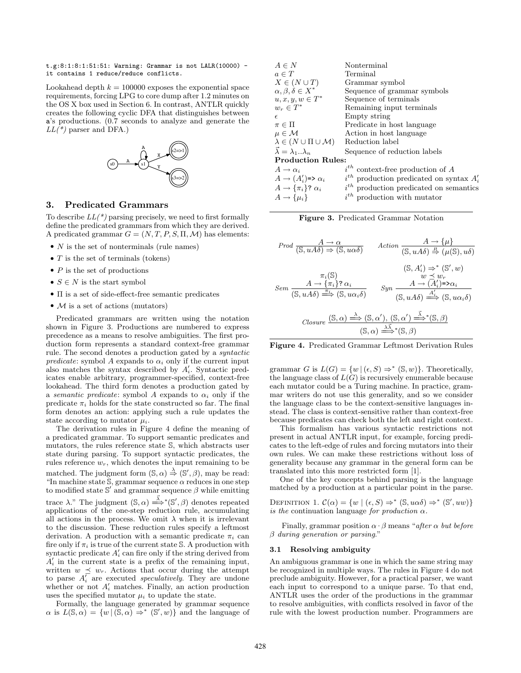t.g:8:1:8:1:51:51: Warning: Grammar is not LALR(10000) it contains 1 reduce/reduce conflicts.

Lookahead depth  $k = 100000$  exposes the exponential space requirements, forcing LPG to core dump after 1.2 minutes on the OS X box used in Section 6. In contrast, ANTLR quickly creates the following cyclic DFA that distinguishes between a's productions. (0.7 seconds to analyze and generate the  $LL$ <sup>\*</sup>) parser and DFA.)



# 3. Predicated Grammars

To describe  $LL$ <sup>\*</sup>) parsing precisely, we need to first formally define the predicated grammars from which they are derived. A predicated grammar  $G = (N, T, P, S, \Pi, \mathcal{M})$  has elements:

- $N$  is the set of nonterminals (rule names)
- $T$  is the set of terminals (tokens)
- $P$  is the set of productions
- $S \in N$  is the start symbol
- Π is a set of side-effect-free semantic predicates
- $M$  is a set of actions (mutators)

Predicated grammars are written using the notation shown in Figure 3. Productions are numbered to express precedence as a means to resolve ambiguities. The first production form represents a standard context-free grammar rule. The second denotes a production gated by a syntactic predicate: symbol A expands to  $\alpha_i$  only if the current input also matches the syntax described by  $A_i'$ . Syntactic predicates enable arbitrary, programmer-specified, context-free lookahead. The third form denotes a production gated by a semantic predicate: symbol A expands to  $\alpha_i$  only if the predicate  $\pi_i$  holds for the state constructed so far. The final form denotes an action: applying such a rule updates the state according to mutator  $\mu_i$ .

The derivation rules in Figure 4 define the meaning of a predicated grammar. To support semantic predicates and mutators, the rules reference state S, which abstracts user state during parsing. To support syntactic predicates, the rules reference  $w_r$ , which denotes the input remaining to be matched. The judgment form  $(\mathbb{S}, \alpha) \stackrel{\lambda}{\Rightarrow} (\mathbb{S}', \beta)$ , may be read: "In machine state  $\mathcal S$ , grammar sequence  $\alpha$  reduces in one step to modified state  $\mathbb{S}'$  and grammar sequence  $\beta$  while emitting trace  $\lambda$ ." The judgment  $(\mathbb{S}, \alpha) \stackrel{\vec{\lambda}}{\Longrightarrow}^*(\mathbb{S}', \beta)$  denotes repeated applications of the one-step reduction rule, accumulating all actions in the process. We omit  $\lambda$  when it is irrelevant to the discussion. These reduction rules specify a leftmost derivation. A production with a semantic predicate  $\pi_i$  can fire only if  $\pi_i$  is true of the current state S. A production with syntactic predicate  $A'_i$  can fire only if the string derived from  $A_i'$  in the current state is a prefix of the remaining input, written  $w \preceq w_r$ . Actions that occur during the attempt to parse  $A_i^{\mathcal{T}}$  are executed speculatively. They are undone whether or not  $A'_i$  matches. Finally, an action production uses the specified mutator  $\mu_i$  to update the state.

Formally, the language generated by grammar sequence  $\alpha$  is  $L(\mathbb{S}, \alpha) = \{w \mid (\mathbb{S}, \alpha) \Rightarrow^* (\mathbb{S}', w)\}\$  and the language of

| $A \in N$                                   | Nonterminal                                     |
|---------------------------------------------|-------------------------------------------------|
| $a \in T$                                   | Terminal                                        |
| $X \in (N \cup T)$                          | Grammar symbol                                  |
| $\alpha, \beta, \delta \in X^*$             | Sequence of grammar symbols                     |
| $u, x, y, w \in T^*$                        | Sequence of terminals                           |
| $w_r \in T^*$                               | Remaining input terminals                       |
| $\epsilon$                                  | Empty string                                    |
| $\pi \in \Pi$                               | Predicate in host language                      |
| $\mu \in \mathcal{M}$                       | Action in host language                         |
| $\lambda \in (N \cup \Pi \cup \mathcal{M})$ | Reduction label                                 |
| $\vec{\lambda} = \lambda_1\lambda_n$        | Sequence of reduction labels                    |
| <b>Production Rules:</b>                    |                                                 |
| $A \rightarrow \alpha_i$                    | $i^{th}$ context-free production of A           |
| $A \rightarrow (A'_i) \Rightarrow \alpha_i$ | $i^{th}$ production predicated on syntax $A_i'$ |
| $A \rightarrow {\pi_i}$ ? $\alpha_i$        | $i^{th}$ production predicated on semantics     |
| $A \rightarrow \{\mu_i\}$                   | $i^{th}$ production with mutator                |

Figure 3. Predicated Grammar Notation

\n
$$
\text{Prod } \frac{A \to \alpha}{(\mathbb{S}, u \mathbb{A} \delta) \Rightarrow (\mathbb{S}, u \alpha \delta)}
$$
\n $\text{Action } \frac{A \to \{\mu\}}{(\mathbb{S}, u \mathbb{A} \delta) \xrightarrow{\mu} (\mu(\mathbb{S}), u \delta)}$ \n $\pi_i(\mathbb{S})$ \n $\text{Sem } \frac{\pi_i(\mathbb{S})}{(\mathbb{S}, u \mathbb{A} \delta) \xrightarrow{\pi_i} (\mathbb{S}, u \alpha_i \delta)}$ \n $\text{Syn } \frac{A \to \{\pi_i\} \gamma \alpha_i}{(\mathbb{S}, u \mathbb{A} \delta) \xrightarrow{\pi_i} (\mathbb{S}, u \alpha_i \delta)}$ \n $\text{Closure } \frac{(\mathbb{S}, \alpha) \xrightarrow{\lambda} (\mathbb{S}, \alpha') \cdot (\mathbb{S}, \alpha') \xrightarrow{\lambda^*} (\mathbb{S}, \beta)}{(\mathbb{S}, \alpha) \xrightarrow{\lambda^*} (\mathbb{S}, \beta)}$ \n

Figure 4. Predicated Grammar Leftmost Derivation Rules

grammar G is  $L(G) = \{w \mid (\epsilon, S) \Rightarrow^* (\mathbb{S}, w)\}.$  Theoretically, the language class of  $L(G)$  is recursively enumerable because each mutator could be a Turing machine. In practice, grammar writers do not use this generality, and so we consider the language class to be the context-sensitive languages instead. The class is context-sensitive rather than context-free because predicates can check both the left and right context.

This formalism has various syntactic restrictions not present in actual ANTLR input, for example, forcing predicates to the left-edge of rules and forcing mutators into their own rules. We can make these restrictions without loss of generality because any grammar in the general form can be translated into this more restricted form [1].

One of the key concepts behind parsing is the language matched by a production at a particular point in the parse.

DEFINITION 1.  $\mathcal{C}(\alpha) = \{w \mid (\epsilon, S) \Rightarrow^* (\mathbb{S}, u \alpha \delta) \Rightarrow^* (\mathbb{S}', uw)\}$ is the continuation language for production  $\alpha$ .

Finally, grammar position  $\alpha \cdot \beta$  means "after  $\alpha$  but before  $\beta$  during generation or parsing."

#### 3.1 Resolving ambiguity

An ambiguous grammar is one in which the same string may be recognized in multiple ways. The rules in Figure 4 do not preclude ambiguity. However, for a practical parser, we want each input to correspond to a unique parse. To that end, ANTLR uses the order of the productions in the grammar to resolve ambiguities, with conflicts resolved in favor of the rule with the lowest production number. Programmers are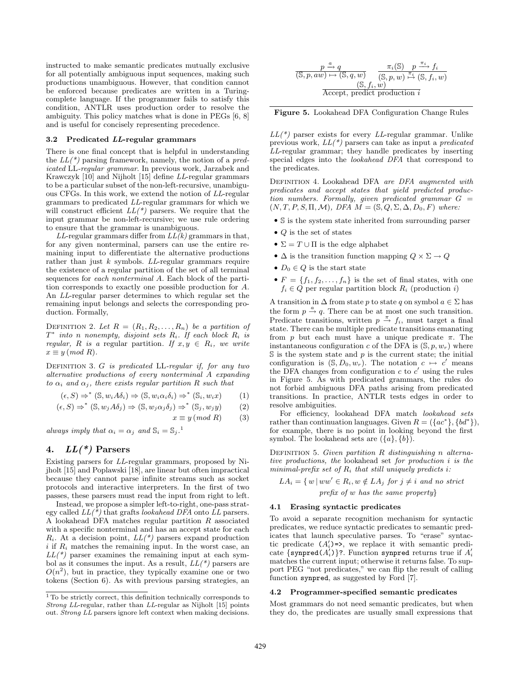instructed to make semantic predicates mutually exclusive for all potentially ambiguous input sequences, making such productions unambiguous. However, that condition cannot be enforced because predicates are written in a Turingcomplete language. If the programmer fails to satisfy this condition, ANTLR uses production order to resolve the ambiguity. This policy matches what is done in PEGs [6, 8] and is useful for concisely representing precedence.

## 3.2 Predicated LL-regular grammars

There is one final concept that is helpful in understanding the  $LL(^{*})$  parsing framework, namely, the notion of a *pred*icated LL-regular grammar. In previous work, Jarzabek and Krawczyk [10] and Nijholt [15] define LL-regular grammars to be a particular subset of the non-left-recursive, unambiguous CFGs. In this work, we extend the notion of LL-regular grammars to predicated LL-regular grammars for which we will construct efficient  $LL(^{*})$  parsers. We require that the input grammar be non-left-recursive; we use rule ordering to ensure that the grammar is unambiguous.

LL-regular grammars differ from  $LL(k)$  grammars in that, for any given nonterminal, parsers can use the entire remaining input to differentiate the alternative productions rather than just  $k$  symbols. LL-regular grammars require the existence of a regular partition of the set of all terminal sequences for each nonterminal A. Each block of the partition corresponds to exactly one possible production for A. An LL-regular parser determines to which regular set the remaining input belongs and selects the corresponding production. Formally,

DEFINITION 2. Let  $R = (R_1, R_2, \ldots, R_n)$  be a partition of  $T^*$  into n nonempty, disjoint sets  $R_i$ . If each block  $R_i$  is regular, R is a regular partition. If  $x, y \in R_i$ , we write  $x \equiv y \pmod{R}$ .

DEFINITION 3.  $G$  is predicated LL-regular if, for any two alternative productions of every nonterminal A expanding to  $\alpha_i$  and  $\alpha_j$ , there exists regular partition R such that

$$
(\epsilon, S) \Rightarrow^* (S, w_i A \delta_i) \Rightarrow (S, w_i \alpha_i \delta_i) \Rightarrow^* (S_i, w_i x)
$$
 (1)

$$
(\epsilon, S) \Rightarrow^* (\mathbb{S}, w_j A \delta_j) \Rightarrow (\mathbb{S}, w_j \alpha_j \delta_j) \Rightarrow^* (\mathbb{S}_j, w_j y)
$$
 (2)

 $x \equiv y \pmod{R}$  (3)

always imply that  $\alpha_i = \alpha_j$  and  $\mathbb{S}_i = \mathbb{S}_j$ .

# 4.  $LL(*)$  Parsers

Existing parsers for LL-regular grammars, proposed by Nijholt [15] and Poplawski [18], are linear but often impractical because they cannot parse infinite streams such as socket protocols and interactive interpreters. In the first of two passes, these parsers must read the input from right to left.

Instead, we propose a simpler left-to-right, one-pass strategy called  $LL$ <sup>\*</sup>) that grafts *lookahead DFA* onto  $LL$  parsers. A lookahead DFA matches regular partition R associated with a specific nonterminal and has an accept state for each  $R_i$ . At a decision point,  $LL(^{*})$  parsers expand production  $i$  if  $R_i$  matches the remaining input. In the worst case, an  $LL(^{*})$  parser examines the remaining input at each symbol as it consumes the input. As a result,  $LL(*)$  parsers are  $O(n^2)$ , but in practice, they typically examine one or two tokens (Section 6). As with previous parsing strategies, an

$$
\frac{p \xrightarrow{a} q}{(\mathbb{S}, p, aw) \mapsto (\mathbb{S}, q, w)} \xrightarrow{\pi_i(\mathbb{S})} \frac{p \xrightarrow{\pi_i} f_i}{(\mathbb{S}, p, w) \xrightarrow{\pi_i} (\mathbb{S}, f_i, w)}
$$
\n
$$
\xrightarrow{\text{(S, } f_i, w)} \text{Accept, predict production } i
$$

Figure 5. Lookahead DFA Configuration Change Rules

 $LL(*)$  parser exists for every  $LL$ -regular grammar. Unlike previous work,  $LL(^{*})$  parsers can take as input a *predicated* LL-regular grammar; they handle predicates by inserting special edges into the lookahead DFA that correspond to the predicates.

DEFINITION 4. Lookahead DFA are DFA augmented with predicates and accept states that yield predicted produc $tion$  numbers. Formally, given predicated grammar  $G =$  $(N, T, P, S, \Pi, \mathcal{M})$ , DFA  $M = (\mathbb{S}, Q, \Sigma, \Delta, D_0, F)$  where:

- S is the system state inherited from surrounding parser
- $Q$  is the set of states
- $\Sigma = T \cup \Pi$  is the edge alphabet
- $\Delta$  is the transition function mapping  $Q \times \Sigma \rightarrow Q$
- $D_0 \in Q$  is the start state
- $F = \{f_1, f_2, \ldots, f_n\}$  is the set of final states, with one  $f_i \in Q$  per regular partition block  $R_i$  (production i)

A transition in  $\Delta$  from state p to state q on symbol  $a \in \Sigma$  has the form  $p \stackrel{a}{\rightarrow} q$ . There can be at most one such transition. Predicate transitions, written  $p \stackrel{\pi}{\rightarrow} f_i$ , must target a final state. There can be multiple predicate transitions emanating from p but each must have a unique predicate  $\pi$ . The instantaneous configuration c of the DFA is  $(\mathbb{S}, p, w_r)$  where  $\mathbb S$  is the system state and p is the current state; the initial configuration is  $(S, D_0, w_r)$ . The notation  $c \mapsto c'$  means the DFA changes from configuration  $c$  to  $c'$  using the rules in Figure 5. As with predicated grammars, the rules do not forbid ambiguous DFA paths arising from predicated transitions. In practice, ANTLR tests edges in order to resolve ambiguities.

For efficiency, lookahead DFA match lookahead sets rather than continuation languages. Given  $R = (\lbrace ac^* \rbrace, \lbrace bd^* \rbrace),$ for example, there is no point in looking beyond the first symbol. The lookahead sets are  $({a}, {b})$ .

DEFINITION 5. Given partition  $R$  distinguishing n alternative productions, the lookahead set for production i is the minimal-prefix set of  $R_i$  that still uniquely predicts i:

$$
LA_i = \{ w \mid ww' \in R_i, w \notin LA_j \text{ for } j \neq i \text{ and no strict} \}
$$
  
prefix of w has the same property

#### 4.1 Erasing syntactic predicates

To avoid a separate recognition mechanism for syntactic predicates, we reduce syntactic predicates to semantic predicates that launch speculative parses. To "erase" syntactic predicate  $(A'_i) = \sum$ , we replace it with semantic predicate  $\{ \texttt{synpred}(A_i') \}$ ?. Function synpred returns true if  $A_i'$ matches the current input; otherwise it returns false. To support PEG "not predicates," we can flip the result of calling function synpred, as suggested by Ford [7].

### 4.2 Programmer-specified semantic predicates

Most grammars do not need semantic predicates, but when they do, the predicates are usually small expressions that

 $1$ <sup>T</sup>O be strictly correct, this definition technically corresponds to Strong LL-regular, rather than LL-regular as Nijholt [15] points out. Strong LL parsers ignore left context when making decisions.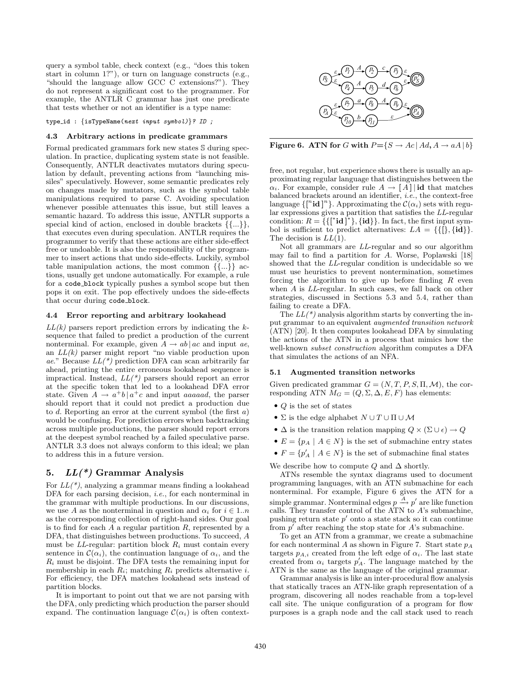query a symbol table, check context (e.g., "does this token start in column 1?"), or turn on language constructs (e.g., "should the language allow GCC C extensions?"). They do not represent a significant cost to the programmer. For example, the ANTLR C grammar has just one predicate that tests whether or not an identifier is a type name:

type id : {isTypeName(next input symbol)}? ID ;

## 4.3 Arbitrary actions in predicate grammars

Formal predicated grammars fork new states S during speculation. In practice, duplicating system state is not feasible. Consequently, ANTLR deactivates mutators during speculation by default, preventing actions from "launching missiles" speculatively. However, some semantic predicates rely on changes made by mutators, such as the symbol table manipulations required to parse C. Avoiding speculation whenever possible attenuates this issue, but still leaves a semantic hazard. To address this issue, ANTLR supports a special kind of action, enclosed in double brackets {{...}}, that executes even during speculation. ANTLR requires the programmer to verify that these actions are either side-effect free or undoable. It is also the responsibility of the programmer to insert actions that undo side-effects. Luckily, symbol table manipulation actions, the most common  $\{\{\ldots\}\}\$ actions, usually get undone automatically. For example, a rule for a code block typically pushes a symbol scope but then pops it on exit. The pop effectively undoes the side-effects that occur during code block.

#### 4.4 Error reporting and arbitrary lookahead

 $LL(k)$  parsers report prediction errors by indicating the ksequence that failed to predict a production of the current nonterminal. For example, given  $A \rightarrow ab \, | \, ac$  and input  $ae$ , an  $LL(k)$  parser might report "no viable production upon ae." Because  $LL(^{*})$  prediction DFA can scan arbitrarily far ahead, printing the entire erroneous lookahead sequence is impractical. Instead,  $LL(^{*})$  parsers should report an error at the specific token that led to a lookahead DFA error state. Given  $A \to a^+b/a^+c$  and input *aaaaad*, the parser should report that it could not predict a production due to d. Reporting an error at the current symbol (the first a) would be confusing. For prediction errors when backtracking across multiple productions, the parser should report errors at the deepest symbol reached by a failed speculative parse. ANTLR 3.3 does not always conform to this ideal; we plan to address this in a future version.

# 5.  $LL(^{*})$  Grammar Analysis

For  $LL$ <sup>\*</sup>, analyzing a grammar means finding a lookahead DFA for each parsing decision, *i.e.*, for each nonterminal in the grammar with multiple productions. In our discussions, we use A as the nonterminal in question and  $\alpha_i$  for  $i \in 1..n$ as the corresponding collection of right-hand sides. Our goal is to find for each  $A$  a regular partition  $R$ , represented by a DFA, that distinguishes between productions. To succeed, A must be  $LL$ -regular: partition block  $R_i$  must contain every sentence in  $\mathcal{C}(\alpha_i)$ , the continuation language of  $\alpha_i$ , and the  $R_i$  must be disjoint. The DFA tests the remaining input for membership in each  $R_i$ ; matching  $R_i$  predicts alternative i. For efficiency, the DFA matches lookahead sets instead of partition blocks.

It is important to point out that we are not parsing with the DFA, only predicting which production the parser should expand. The continuation language  $\mathcal{C}(\alpha_i)$  is often context-



Figure 6. ATN for G with  $P = \{S \rightarrow Ac \mid Ad, A \rightarrow aA \mid b\}$ 

free, not regular, but experience shows there is usually an approximating regular language that distinguishes between the  $\alpha_i$ . For example, consider rule  $A \to [A] | \mathbf{id}$  that matches balanced brackets around an identifier, i.e., the context-free language  $\{\left[\begin{matrix}n \cdot \mathbf{id}\end{matrix}\right]^n\}$ . Approximating the  $\mathcal{C}(\alpha_i)$  sets with regular expressions gives a partition that satisfies the LL-regular condition:  $R = \{ {\{\mathbf{\hat{i}}\mathbf{d}\mathbf{\hat{j}}^*\}, \{\mathbf{id}\}\}\}\.$  In fact, the first input symbol is sufficient to predict alternatives:  $LA = \{\{\{\},\{\mathbf{id}\}\}.$ The decision is  $LL(1)$ .

Not all grammars are LL-regular and so our algorithm may fail to find a partition for A. Worse, Poplawski [18] showed that the LL-regular condition is undecidable so we must use heuristics to prevent nontermination, sometimes forcing the algorithm to give up before finding  $R$  even when A is LL-regular. In such cases, we fall back on other strategies, discussed in Sections 5.3 and 5.4, rather than failing to create a DFA.

The  $LL$ <sup>\*</sup>) analysis algorithm starts by converting the input grammar to an equivalent augmented transition network (ATN) [20]. It then computes lookahead DFA by simulating the actions of the ATN in a process that mimics how the well-known subset construction algorithm computes a DFA that simulates the actions of an NFA.

#### 5.1 Augmented transition networks

Given predicated grammar  $G = (N, T, P, S, \Pi, \mathcal{M})$ , the corresponding ATN  $M_G = (Q, \Sigma, \Delta, E, F)$  has elements:

- $Q$  is the set of states
- $\Sigma$  is the edge alphabet  $N \cup T \cup \Pi \cup \mathcal{M}$
- $\Delta$  is the transition relation mapping  $Q \times (\Sigma \cup \epsilon) \rightarrow Q$
- $E = \{p_A \mid A \in N\}$  is the set of submachine entry states
- $F = \{p'_A \mid A \in N\}$  is the set of submachine final states

We describe how to compute  $Q$  and  $\Delta$  shortly.

ATNs resemble the syntax diagrams used to document programming languages, with an ATN submachine for each nonterminal. For example, Figure 6 gives the ATN for a simple grammar. Nonterminal edges  $p \stackrel{A}{\longrightarrow} p'$  are like function calls. They transfer control of the ATN to A's submachine, pushing return state  $p'$  onto a state stack so it can continue from  $p'$  after reaching the stop state for A's submachine.

To get an ATN from a grammar, we create a submachine for each nonterminal A as shown in Figure 7. Start state  $p_A$ targets  $p_{A,i}$  created from the left edge of  $\alpha_i$ . The last state created from  $\alpha_i$  targets  $p'_A$ . The language matched by the ATN is the same as the language of the original grammar.

Grammar analysis is like an inter-procedural flow analysis that statically traces an ATN-like graph representation of a program, discovering all nodes reachable from a top-level call site. The unique configuration of a program for flow purposes is a graph node and the call stack used to reach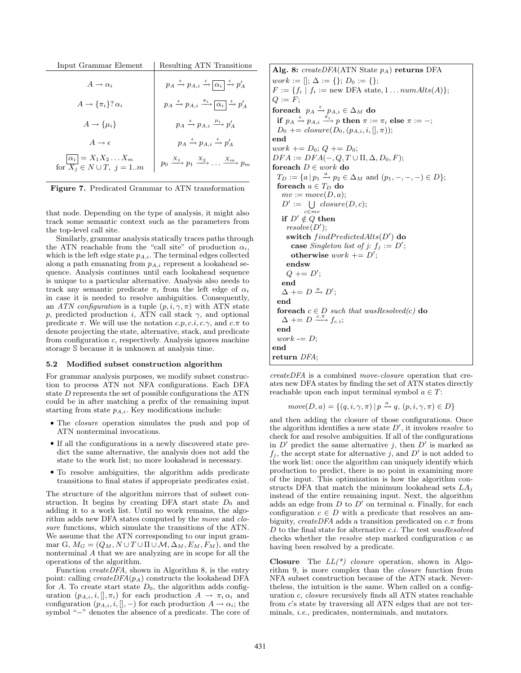| Input Grammar Element                                                               | Resulting ATN Transitions                                                                                |
|-------------------------------------------------------------------------------------|----------------------------------------------------------------------------------------------------------|
| $A \rightarrow \alpha_i$                                                            | $p_A \xrightarrow{\epsilon} p_{A,i} \xrightarrow{\epsilon} \boxed{\alpha_i} \xrightarrow{\epsilon} p'_A$ |
| $A \rightarrow {\pi_i}$ ? $\alpha_i$                                                | $p_A \xrightarrow{\epsilon} p_{A,i} \xrightarrow{\pi_i} \boxed{\alpha_i} \xrightarrow{\epsilon} p_A'$    |
| $A \rightarrow {\mu_i}$                                                             | $p_A \xrightarrow{\epsilon} p_{A,i} \xrightarrow{\mu_i} p'_A$                                            |
| $A \rightarrow \epsilon$                                                            | $p_A \xrightarrow{\epsilon} p_{A,i} \xrightarrow{\epsilon} p'_A$                                         |
| $\overline{\alpha_i}$ = $X_1X_2X_m$<br>for $\overline{X_j} \in N \cup T$ , $j = 1m$ | $p_0 \xrightarrow{X_1} p_1 \xrightarrow{X_2} \dots \xrightarrow{X_m} p_m$                                |

Figure 7. Predicated Grammar to ATN transformation

that node. Depending on the type of analysis, it might also track some semantic context such as the parameters from the top-level call site.

Similarly, grammar analysis statically traces paths through the ATN reachable from the "call site" of production  $\alpha_i$ , which is the left edge state  $p_{A,i}$ . The terminal edges collected along a path emanating from  $p_{A,i}$  represent a lookahead sequence. Analysis continues until each lookahead sequence is unique to a particular alternative. Analysis also needs to track any semantic predicate  $\pi_i$  from the left edge of  $\alpha_i$ in case it is needed to resolve ambiguities. Consequently, an ATN configuration is a tuple  $(p, i, \gamma, \pi)$  with ATN state p, predicted production i, ATN call stack  $\gamma$ , and optional predicate  $\pi$ . We will use the notation c.p, c.i, c. $\gamma$ , and c. $\pi$  to denote projecting the state, alternative, stack, and predicate from configuration c, respectively. Analysis ignores machine storage S because it is unknown at analysis time.

#### 5.2 Modified subset construction algorithm

For grammar analysis purposes, we modify subset construction to process ATN not NFA configurations. Each DFA state  $D$  represents the set of possible configurations the ATN could be in after matching a prefix of the remaining input starting from state  $p_{A,i}$ . Key modifications include:

- The *closure* operation simulates the push and pop of ATN nonterminal invocations.
- If all the configurations in a newly discovered state predict the same alternative, the analysis does not add the state to the work list; no more lookahead is necessary.
- To resolve ambiguities, the algorithm adds predicate transitions to final states if appropriate predicates exist.

The structure of the algorithm mirrors that of subset construction. It begins by creating DFA start state  $D_0$  and adding it to a work list. Until no work remains, the algorithm adds new DFA states computed by the move and closure functions, which simulate the transitions of the ATN. We assume that the ATN corresponding to our input grammar G,  $M_G = (Q_M, N \cup T \cup \Pi \cup \mathcal{M}, \Delta_M, E_M, F_M)$ , and the nonterminal A that we are analyzing are in scope for all the operations of the algorithm.

Function createDFA, shown in Algorithm 8, is the entry point: calling  $createDFA(p_A)$  constructs the lookahead DFA for A. To create start state  $D_0$ , the algorithm adds configuration  $(p_{A,i}, i,[], \pi_i)$  for each production  $A \rightarrow \pi_i \alpha_i$  and configuration  $(p_{A,i}, i, \vert, -)$  for each production  $A \rightarrow \alpha_i$ ; the symbol "−" denotes the absence of a predicate. The core of

**Alg. 8:** createDFA(ATN State 
$$
p_A
$$
) returns DFA  
\nwork := [];  $\Delta$  := {};  $D_0$  := {};  
\nF := {f\_i | f\_i := new DFA state, 1...numAlts(A)};  
\nQ := F;  
\n**forecast**  $p_A \xrightarrow{\epsilon} p_{A,i} \in \Delta_M$  **do**  
\n**if**  $p_A \xrightarrow{\epsilon} p_{A,i} \xrightarrow{\pi_i} p$  **then**  $\pi := \pi_i$  **else**  $\pi := -;$   
\n $D_0 += closure(D_0, (p_{A,i}, i, ], \pi));$   
\n**end**  
\n**end**  
\n**end**  
\n**end**  
\n $work += D_0; Q += D_0;$   
\n $DF A := DFA(-, Q, T \cup \Pi, \Delta, D_0, F);$   
\n**for each**  $D \in work$  **do**  
\n $T_D := \{a | p_1 \xrightarrow{\alpha} p_2 \in \Delta_M \text{ and } (p_1, -, -, -) \in D\};$   
\n**for each**  $a \in T_D$  **do**  
\n $mv := move(D, a);$   
\n $D' := \bigcup_{c \in mv} closure(D, c);$   
\n**if**  $D' \notin Q$  **then**  
\n $resolve(D')$ ;  
\n**switch**  $findPredictedAlts(D')$  **do**  
\n**case**  $Singleton$   $list \circ f j : f_j := D';$   
\n**otherwise**  $work += D';$   
\n**end**  
\n $\Delta += D \xrightarrow{\alpha} D';$   
\n**end**  
\n**for each**  $c \in D$  *such that*  $wasResolved(c)$  **do**  
\n $\Delta += D \xrightarrow{\alpha} D';$   
\n**end**  
\n**order**  
\n**not**  
\n $v_{m}k := D;$   
\n**end**  
\n**return**  $DFA;$ 

createDFA is a combined move-closure operation that creates new DFA states by finding the set of ATN states directly reachable upon each input terminal symbol  $a \in T$ :

$$
move(D, a) = \{(q, i, \gamma, \pi) | p \xrightarrow{a} q, (p, i, \gamma, \pi) \in D\}
$$

and then adding the closure of those configurations. Once the algorithm identifies a new state  $D'$ , it invokes *resolve* to check for and resolve ambiguities. If all of the configurations in  $D'$  predict the same alternative j, then  $D'$  is marked as  $f_j$ , the accept state for alternative j, and D' is not added to the work list: once the algorithm can uniquely identify which production to predict, there is no point in examining more of the input. This optimization is how the algorithm constructs DFA that match the minimum lookahead sets  $LA_i$ instead of the entire remaining input. Next, the algorithm adds an edge from  $D$  to  $D'$  on terminal  $a$ . Finally, for each configuration  $c \in D$  with a predicate that resolves an ambiguity, createDFA adds a transition predicated on  $c.\pi$  from  $D$  to the final state for alternative  $c.i$ . The test  $wasResolved$ checks whether the *resolve* step marked configuration  $c$  as having been resolved by a predicate.

Closure The  $LL(^{*})$  closure operation, shown in Algorithm 9, is more complex than the closure function from NFA subset construction because of the ATN stack. Nevertheless, the intuition is the same. When called on a configuration c, closure recursively finds all ATN states reachable from c's state by traversing all ATN edges that are not terminals, i.e., predicates, nonterminals, and mutators.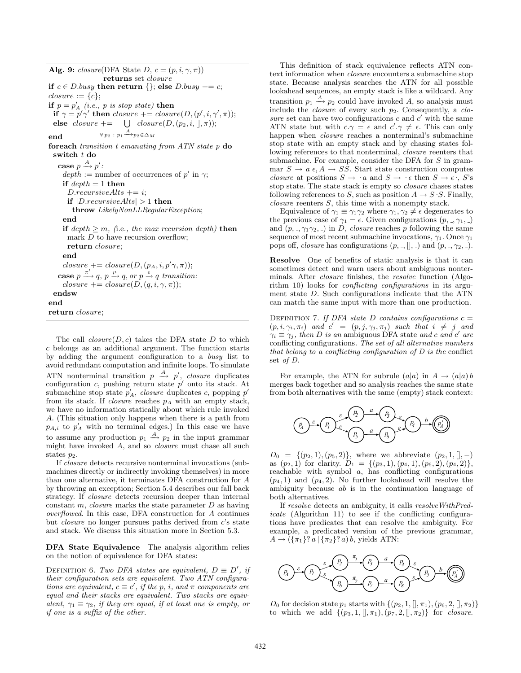Alg. 9: closure(DFA State D,  $c = (p, i, \gamma, \pi)$ ) returns set closure if  $c \in D.busy$  then return  $\{\}$ ; else  $D.busy \, +\, c$ ;  $closure := \{c\};$ if  $p = p'_A$  (i.e., p is stop state) then if  $\gamma = p' \gamma'$  then closure  $+= closure(D, (p', i, \gamma', \pi));$ else  $closure += \cup$  $\forall p_2 : p_1 \stackrel{A}{\longrightarrow} p_2 \in \Delta_M$  $closure(D,(p_2,i,[],\pi));$ end foreach transition t emanating from ATN state p do switch t do  $\mathbf{case}\ p \xrightarrow{A} p'$ :  $depth :=$  number of occurrences of p' in  $\gamma$ ; if  $depth = 1$  then  $D$ .recursiveAlts += i; if  $|D\text{.}recursiveAlts| > 1$  then throw LikelyNonLLRegularException; end if depth  $\geq m$ , (i.e., the max recursion depth) then mark  $D$  to have recursion overflow; return closure; end  $closure += closure(D, (p_A, i, p'\gamma, \pi));$ case  $p \xrightarrow{\pi'} q$ ,  $p \xrightarrow{\mu} q$ , or  $p \xrightarrow{\epsilon} q$  transition:  $closure += closure(D, (q, i, \gamma, \pi));$ endsw end return closure;

The call  $closure(D, c)$  takes the DFA state D to which c belongs as an additional argument. The function starts by adding the argument configuration to a busy list to avoid redundant computation and infinite loops. To simulate ATN nonterminal transition  $p \stackrel{A}{\longrightarrow} p'$ , *closure* duplicates configuration c, pushing return state  $p'$  onto its stack. At submachine stop state  $p'_A$ , closure duplicates c, popping p' from its stack. If *closure* reaches  $p_A$  with an empty stack, we have no information statically about which rule invoked A. (This situation only happens when there is a path from  $p_{A,i}$  to  $p'_A$  with no terminal edges.) In this case we have to assume any production  $p_1 \stackrel{A}{\rightarrow} p_2$  in the input grammar might have invoked A, and so closure must chase all such states  $p_2$ .

If closure detects recursive nonterminal invocations (submachines directly or indirectly invoking themselves) in more than one alternative, it terminates DFA construction for A by throwing an exception; Section 5.4 describes our fall back strategy. If closure detects recursion deeper than internal constant m, *closure* marks the state parameter  $D$  as having overflowed. In this case, DFA construction for A continues but closure no longer pursues paths derived from c's state and stack. We discuss this situation more in Section 5.3.

DFA State Equivalence The analysis algorithm relies on the notion of equivalence for DFA states:

DEFINITION 6. Two DFA states are equivalent,  $D \equiv D'$ , if their configuration sets are equivalent. Two ATN configurations are equivalent,  $c \equiv c'$ , if the p, i, and  $\pi$  components are equal and their stacks are equivalent. Two stacks are equivalent,  $\gamma_1 \equiv \gamma_2$ , if they are equal, if at least one is empty, or if one is a suffix of the other.

This definition of stack equivalence reflects ATN context information when closure encounters a submachine stop state. Because analysis searches the ATN for all possible lookahead sequences, an empty stack is like a wildcard. Any transition  $p_1 \stackrel{A}{\longrightarrow} p_2$  could have invoked A, so analysis must include the *closure* of every such  $p_2$ . Consequently, a *clo*sure set can have two configurations  $c$  and  $c'$  with the same ATN state but with  $c.\gamma = \epsilon$  and  $c'.\gamma \neq \epsilon$ . This can only happen when closure reaches a nonterminal's submachine stop state with an empty stack and by chasing states following references to that nonterminal, closure reenters that submachine. For example, consider the DFA for S in grammar  $S \to a|\epsilon, A \to S\overline{S}$ . Start state construction computes *closure* at positions  $S \to a$  and  $S \to \epsilon$  then  $S \to \epsilon$ , S's stop state. The state stack is empty so closure chases states following references to S, such as position  $A \rightarrow S \cdot S$ . Finally, closure reenters S, this time with a nonempty stack.

Equivalence of  $\gamma_1 \equiv \gamma_1 \gamma_2$  where  $\gamma_1, \gamma_2 \neq \epsilon$  degenerates to the previous case of  $\gamma_1 = \epsilon$ . Given configurations  $(p, \gamma_1, \gamma_2)$ and  $(p, \, \gamma_1 \gamma_2, \, \ldots)$  in D, closure reaches p following the same sequence of most recent submachine invocations,  $\gamma_1$ . Once  $\gamma_1$ pops off, *closure* has configurations  $(p, z, \Pi, z)$  and  $(p, z, \gamma_2, z)$ .

Resolve One of benefits of static analysis is that it can sometimes detect and warn users about ambiguous nonterminals. After *closure* finishes, the *resolve* function (Algorithm 10) looks for conflicting configurations in its argument state D. Such configurations indicate that the ATN can match the same input with more than one production.

DEFINITION 7. If DFA state D contains configurations  $c =$  $(p, i, \gamma_i, \pi_i)$  and  $c' = (p, j, \gamma_j, \pi_j)$  such that  $i \neq j$  and  $\gamma_i \equiv \gamma_j$ , then D is an ambiguous DFA state and c and c' are conflicting configurations. The set of all alternative numbers that belong to a conflicting configuration of  $D$  is the conflict set of D.

For example, the ATN for subrule  $(a|a)$  in  $A \rightarrow (a|a) b$ merges back together and so analysis reaches the same state from both alternatives with the same (empty) stack context:



 $D_0 = \{(p_2, 1), (p_5, 2)\}\$ , where we abbreviate  $(p_2, 1, \|, -)$ as  $(p_2, 1)$  for clarity.  $D_1 = \{(p_3, 1), (p_4, 1), (p_6, 2), (p_4, 2)\},\$ reachable with symbol a, has conflicting configurations  $(p_4, 1)$  and  $(p_4, 2)$ . No further lookahead will resolve the ambiguity because ab is in the continuation language of both alternatives.

If resolve detects an ambiguity, it calls resolveWithPredicate (Algorithm 11) to see if the conflicting configurations have predicates that can resolve the ambiguity. For example, a predicated version of the previous grammar,  $A \rightarrow (\{\pi_1\}$ ?  $a | \{\pi_2\}$ ? a) b, yields ATN:



 $D_0$  for decision state  $p_1$  starts with  $\{(p_2, 1, [.,\pi_1), (p_6, 2, [.,\pi_2)\})$ to which we add  $\{(p_3, 1,[], \pi_1), (p_7, 2,[], \pi_2)\}$  for *closure*.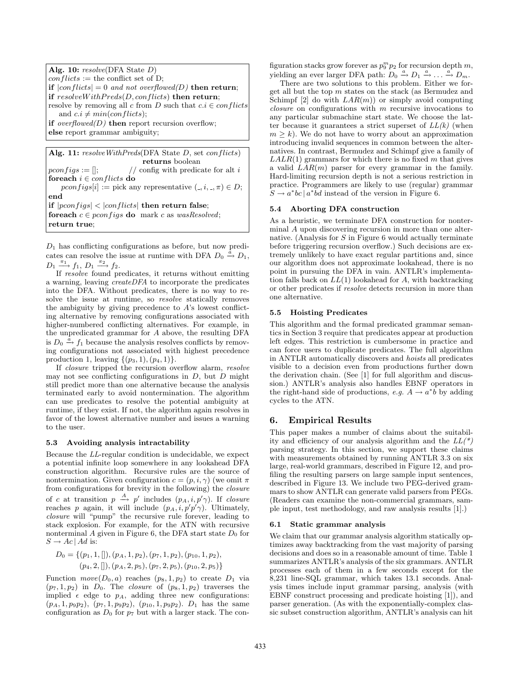Alg. 10: resolve(DFA State D)  $conflicts :=$  the conflict set of D; if  $|conflicts| = 0$  and not overflowed(D) then return; if  $resolveWithPreds(D, conflicts)$  then return; resolve by removing all c from D such that  $c.i \in conflicts$ and  $c.i \neq min(conflicts);$ if *overflowed*( $D$ ) then report recursion overflow; else report grammar ambiguity;

Alg. 11:  $resolve\,WithPreds(DFA\,State\,D, set\, conflicts)$ returns boolean  $pconfigs := []$ ; // config with predicate for alt i foreach  $i \in conflicts$  do  $pconfigs[i] := pick any representative (_, i, ', \pi) \in D;$ end if  $|pconfigs| < |conflicts|$  then return false; for each  $c \in pconfigs$  do mark c as was Resolved; return true;

 $D_1$  has conflicting configurations as before, but now predicates can resolve the issue at runtime with DFA  $D_0 \xrightarrow{\hat{a}} D_1$ ,  $D_1 \xrightarrow{\pi_1} f_1, D_1 \xrightarrow{\pi_2} f_2.$ 

If resolve found predicates, it returns without emitting a warning, leaving createDFA to incorporate the predicates into the DFA. Without predicates, there is no way to resolve the issue at runtime, so resolve statically removes the ambiguity by giving precedence to  $A$ 's lowest conflicting alternative by removing configurations associated with higher-numbered conflicting alternatives. For example, in the unpredicated grammar for A above, the resulting DFA is  $D_0 \xrightarrow{\hat{a}} f_1$  because the analysis resolves conflicts by removing configurations not associated with highest precedence production 1, leaving  $\{(p_3, 1), (p_4, 1)\}.$ 

If closure tripped the recursion overflow alarm, resolve may not see conflicting configurations in  $D$ , but  $D$  might still predict more than one alternative because the analysis terminated early to avoid nontermination. The algorithm can use predicates to resolve the potential ambiguity at runtime, if they exist. If not, the algorithm again resolves in favor of the lowest alternative number and issues a warning to the user.

### 5.3 Avoiding analysis intractability

Because the LL-regular condition is undecidable, we expect a potential infinite loop somewhere in any lookahead DFA construction algorithm. Recursive rules are the source of nontermination. Given configuration  $c = (p, i, \gamma)$  (we omit  $\pi$ from configurations for brevity in the following) the closure of c at transition  $p \stackrel{A}{\rightarrow} p'$  includes  $(p_A, i, p' \gamma)$ . If closure reaches p again, it will include  $(p_A, i, p'p')$ . Ultimately, closure will "pump" the recursive rule forever, leading to stack explosion. For example, for the ATN with recursive nonterminal A given in Figure 6, the DFA start state  $D_0$  for  $S \to Ac \, | \, Ad$  is:

$$
D_0 = \{ (p_1, 1, []), (p_A, 1, p_2), (p_7, 1, p_2), (p_{10}, 1, p_2), (p_4, 2, []), (p_A, 2, p_5), (p_7, 2, p_5), (p_{10}, 2, p_5) \}
$$

Function  $move(D_0, a)$  reaches  $(p_8, 1, p_2)$  to create  $D_1$  via  $(p_7, 1, p_2)$  in  $D_0$ . The *closure* of  $(p_8, 1, p_2)$  traverses the implied  $\epsilon$  edge to  $p_A$ , adding three new configurations:  $(p_A, 1, p_9p_2), (p_7, 1, p_9p_2), (p_{10}, 1, p_9p_2).$  D<sub>1</sub> has the same configuration as  $D_0$  for  $p_7$  but with a larger stack. The configuration stacks grow forever as  $p_9^m p_2$  for recursion depth m, yielding an ever larger DFA path:  $D_0 \xrightarrow{a} D_1 \xrightarrow{a} \dots \xrightarrow{a} D_m$ .

There are two solutions to this problem. Either we forget all but the top m states on the stack (as Bermudez and Schimpf [2] do with  $LAR(m)$  or simply avoid computing closure on configurations with m recursive invocations to any particular submachine start state. We choose the latter because it guarantees a strict superset of  $LL(k)$  (when  $m \geq k$ ). We do not have to worry about an approximation introducing invalid sequences in common between the alternatives. In contrast, Bermudez and Schimpf give a family of  $LALR(1)$  grammars for which there is no fixed m that gives a valid  $LAR(m)$  parser for every grammar in the family. Hard-limiting recursion depth is not a serious restriction in practice. Programmers are likely to use (regular) grammar  $S \to a^*bc \mid a^*b\bar{c}$  instead of the version in Figure 6.

## 5.4 Aborting DFA construction

As a heuristic, we terminate DFA construction for nonterminal A upon discovering recursion in more than one alternative. (Analysis for S in Figure 6 would actually terminate before triggering recursion overflow.) Such decisions are extremely unlikely to have exact regular partitions and, since our algorithm does not approximate lookahead, there is no point in pursuing the DFA in vain. ANTLR's implementation falls back on  $LL(1)$  lookahead for A, with backtracking or other predicates if resolve detects recursion in more than one alternative.

## 5.5 Hoisting Predicates

This algorithm and the formal predicated grammar semantics in Section 3 require that predicates appear at production left edges. This restriction is cumbersome in practice and can force users to duplicate predicates. The full algorithm in ANTLR automatically discovers and hoists all predicates visible to a decision even from productions further down the derivation chain. (See [1] for full algorithm and discussion.) ANTLR's analysis also handles EBNF operators in the right-hand side of productions, e.g.  $A \to a^*b$  by adding cycles to the ATN.

# 6. Empirical Results

This paper makes a number of claims about the suitability and efficiency of our analysis algorithm and the  $LL(*)$ parsing strategy. In this section, we support these claims with measurements obtained by running ANTLR 3.3 on six large, real-world grammars, described in Figure 12, and profiling the resulting parsers on large sample input sentences, described in Figure 13. We include two PEG-derived grammars to show ANTLR can generate valid parsers from PEGs. (Readers can examine the non-commercial grammars, sample input, test methodology, and raw analysis results [1].)

#### 6.1 Static grammar analysis

We claim that our grammar analysis algorithm statically optimizes away backtracking from the vast majority of parsing decisions and does so in a reasonable amount of time. Table 1 summarizes ANTLR's analysis of the six grammars. ANTLR processes each of them in a few seconds except for the 8,231 line-SQL grammar, which takes 13.1 seconds. Analysis times include input grammar parsing, analysis (with EBNF construct processing and predicate hoisting [1]), and parser generation. (As with the exponentially-complex classic subset construction algorithm, ANTLR's analysis can hit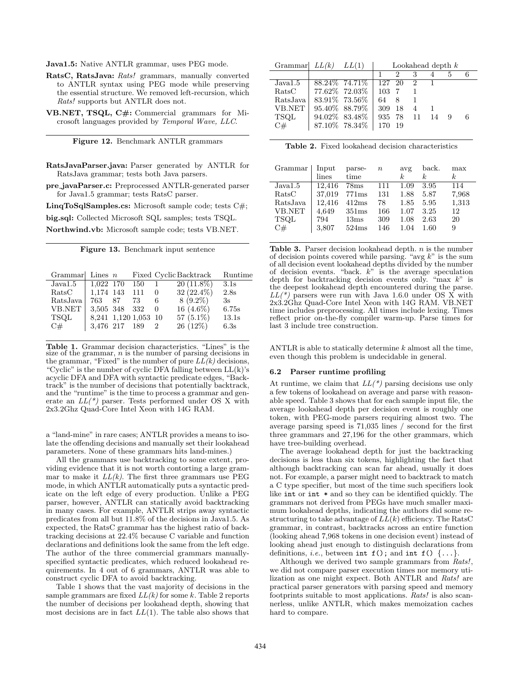Java1.5: Native ANTLR grammar, uses PEG mode.

- RatsC, RatsJava: Rats! grammars, manually converted to ANTLR syntax using PEG mode while preserving the essential structure. We removed left-recursion, which Rats! supports but ANTLR does not.
- VB.NET, TSQL, C#: Commercial grammars for Microsoft languages provided by Temporal Wave, LLC.

Figure 12. Benchmark ANTLR grammars

RatsJavaParser.java: Parser generated by ANTLR for RatsJava grammar; tests both Java parsers.

pre javaParser.c: Preprocessed ANTLR-generated parser for Java1.5 grammar; tests RatsC parser.

LinqToSqlSamples.cs: Microsoft sample code; tests C#;

big.sql: Collected Microsoft SQL samples; tests TSQL.

Northwind.vb: Microsoft sample code; tests VB.NET.

Figure 13. Benchmark input sentence

| Grammar Lines $n$      |                   |                      |          | Fixed Cyclic Backtrack | Runtime |
|------------------------|-------------------|----------------------|----------|------------------------|---------|
| Java1.5                | 1,022 170         | 150 1                |          | $20(11.8\%)$           | 3.1s    |
| $\operatorname{RatsC}$ | $\vert$ 1,174 143 | 111 0                |          | $32(22.4\%)$           | 2.8s    |
| RatsJava               | 763 87            | 73                   | -6       | $8(9.2\%)$             | 3s      |
| VB.NET                 | 3,505 348 332     |                      | $\Omega$ | $16(4.6\%)$            | 6.75s   |
| TSQL                   |                   | 8,241 1,120 1,053 10 |          | 57 $(5.1\%)$           | 13.1s   |
| C#                     | 3,476 217 189 2   |                      |          | $26(12\%)$             | 6.3s    |

Table 1. Grammar decision characteristics. "Lines" is the size of the grammar,  $n$  is the number of parsing decisions in the grammar, "Fixed" is the number of pure  $LL(k)$  decisions, "Cyclic" is the number of cyclic DFA falling between LL(k)'s acyclic DFA and DFA with syntactic predicate edges, "Backtrack" is the number of decisions that potentially backtrack, and the "runtime" is the time to process a grammar and generate an  $LL(^{*})$  parser. Tests performed under OS X with 2x3.2Ghz Quad-Core Intel Xeon with 14G RAM.

a "land-mine" in rare cases; ANTLR provides a means to isolate the offending decisions and manually set their lookahead parameters. None of these grammars hits land-mines.)

All the grammars use backtracking to some extent, providing evidence that it is not worth contorting a large grammar to make it  $LL(k)$ . The first three grammars use PEG mode, in which ANTLR automatically puts a syntactic predicate on the left edge of every production. Unlike a PEG parser, however, ANTLR can statically avoid backtracking in many cases. For example, ANTLR strips away syntactic predicates from all but 11.8% of the decisions in Java1.5. As expected, the RatsC grammar has the highest ratio of backtracking decisions at 22.4% because C variable and function declarations and definitions look the same from the left edge. The author of the three commercial grammars manuallyspecified syntactic predicates, which reduced lookahead requirements. In 4 out of 6 grammars, ANTLR was able to construct cyclic DFA to avoid backtracking.

Table 1 shows that the vast majority of decisions in the sample grammars are fixed  $LL(k)$  for some k. Table 2 reports the number of decisions per lookahead depth, showing that most decisions are in fact  $LL(1)$ . The table also shows that

| Grammar $LL(k) LL(1)$  |                 | Lookahead depth $k$ |           |               |    |    |   |
|------------------------|-----------------|---------------------|-----------|---------------|----|----|---|
|                        |                 |                     | 2         | З             |    | h. |   |
| Java <sub>1.5</sub>    | 88.24\% 74.71\% | 127 20              |           | $\mathcal{D}$ |    |    |   |
| $\operatorname{RatsC}$ | 77.62\%72.03\%  | - 103               |           |               |    |    |   |
| RatsJava               | 83.91\%73.56\%  | 64                  | 8         |               |    |    |   |
| <b>VB.NET</b>          | 95.40\% 88.79\% | 309                 | -18       | 4             |    |    |   |
| TSQL                   | 94.02\% 83.48\% |                     | 935 78 11 |               | 14 | 9  | 6 |
| C#                     | 87.10\%78.34\%  | 170                 | -19       |               |    |    |   |

|  |  | <b>Table 2.</b> Fixed lookahead decision characteristics |
|--|--|----------------------------------------------------------|
|  |  |                                                          |

| Grammar                | Input<br>lines | parse-<br>time | $\boldsymbol{n}$ | avg<br>k. | back.<br>k. | max<br>k. |
|------------------------|----------------|----------------|------------------|-----------|-------------|-----------|
| Java1.5                | 12,416         | 78ms           | 111              | 1.09      | 3.95        | 114       |
| $\operatorname{RatsC}$ | 37,019         | 771ms          | 131              | 1.88      | 5.87        | 7,968     |
| RatsJava               | 12,416         | 412ms          | 78               | 1.85      | 5.95        | 1,313     |
| <b>VB.NET</b>          | 4,649          | 351ms          | 166              | 1.07      | 3.25        | 12        |
| TSQL                   | 794            | 13ms           | 309              | 1.08      | 2.63        | 20        |
| C#                     | 3,807          | 524ms          | 146              | 1.04      | 1.60        | 9         |

Table 3. Parser decision lookahead depth.  $n$  is the number of decision points covered while parsing. " $avg k$ " is the sum of all decision event lookahead depths divided by the number of decision events. "back.  $k$ " is the average speculation depth for backtracking decision events only. "max  $k$ " is the deepest lookahead depth encountered during the parse.  $LL$ <sup>\*</sup>) parsers were run with Java 1.6.0 under OS X with 2x3.2Ghz Quad-Core Intel Xeon with 14G RAM. VB.NET time includes preprocessing. All times include lexing. Times reflect prior on-the-fly compiler warm-up. Parse times for last 3 include tree construction.

ANTLR is able to statically determine  $k$  almost all the time. even though this problem is undecidable in general.

#### 6.2 Parser runtime profiling

At runtime, we claim that  $LL(*)$  parsing decisions use only a few tokens of lookahead on average and parse with reasonable speed. Table 3 shows that for each sample input file, the average lookahead depth per decision event is roughly one token, with PEG-mode parsers requiring almost two. The average parsing speed is 71,035 lines / second for the first three grammars and 27,196 for the other grammars, which have tree-building overhead.

The average lookahead depth for just the backtracking decisions is less than six tokens, highlighting the fact that although backtracking can scan far ahead, usually it does not. For example, a parser might need to backtrack to match a C type specifier, but most of the time such specifiers look like int or int  $*$  and so they can be identified quickly. The grammars not derived from PEGs have much smaller maximum lookahead depths, indicating the authors did some restructuring to take advantage of  $LL(k)$  efficiency. The RatsC grammar, in contrast, backtracks across an entire function (looking ahead 7,968 tokens in one decision event) instead of looking ahead just enough to distinguish declarations from definitions, *i.e.*, between int  $f()$ ; and int  $f()$   $\{... \}$ .

Although we derived two sample grammars from Rats!, we did not compare parser execution times nor memory utilization as one might expect. Both ANTLR and Rats! are practical parser generators with parsing speed and memory footprints suitable to most applications. Rats! is also scannerless, unlike ANTLR, which makes memoization caches hard to compare.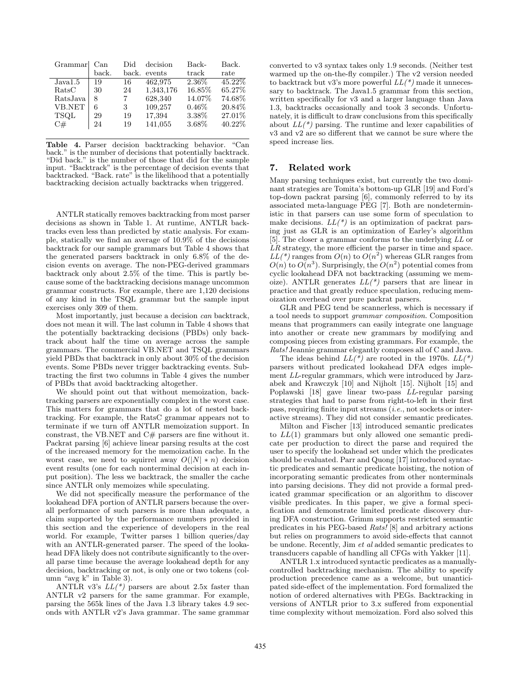| rate      |
|-----------|
|           |
| $45.22\%$ |
| 65.27%    |
| 74.68%    |
| 20.84\%   |
| 27.01%    |
| 40.22%    |
|           |

Table 4. Parser decision backtracking behavior. "Can back." is the number of decisions that potentially backtrack. "Did back." is the number of those that did for the sample input. "Backtrack" is the percentage of decision events that backtracked. "Back. rate" is the likelihood that a potentially backtracking decision actually backtracks when triggered.

ANTLR statically removes backtracking from most parser decisions as shown in Table 1. At runtime, ANTLR backtracks even less than predicted by static analysis. For example, statically we find an average of 10.9% of the decisions backtrack for our sample grammars but Table 4 shows that the generated parsers backtrack in only 6.8% of the decision events on average. The non-PEG-derived grammars backtrack only about 2.5% of the time. This is partly because some of the backtracking decisions manage uncommon grammar constructs. For example, there are 1,120 decisions of any kind in the TSQL grammar but the sample input exercises only 309 of them.

Most importantly, just because a decision can backtrack, does not mean it will. The last column in Table 4 shows that the potentially backtracking decisions (PBDs) only backtrack about half the time on average across the sample grammars. The commercial VB.NET and TSQL grammars yield PBDs that backtrack in only about 30% of the decision events. Some PBDs never trigger backtracking events. Subtracting the first two columns in Table 4 gives the number of PBDs that avoid backtracking altogether.

We should point out that without memoization, backtracking parsers are exponentially complex in the worst case. This matters for grammars that do a lot of nested backtracking. For example, the RatsC grammar appears not to terminate if we turn off ANTLR memoization support. In constrast, the VB.NET and C# parsers are fine without it. Packrat parsing [6] achieve linear parsing results at the cost of the increased memory for the memoization cache. In the worst case, we need to squirrel away  $O(|N| * n)$  decision event results (one for each nonterminal decision at each input position). The less we backtrack, the smaller the cache since ANTLR only memoizes while speculating.

We did not specifically measure the performance of the lookahead DFA portion of ANTLR parsers because the overall performance of such parsers is more than adequate, a claim supported by the performance numbers provided in this section and the experience of developers in the real world. For example, Twitter parses 1 billion queries/day with an ANTLR-generated parser. The speed of the lookahead DFA likely does not contribute significantly to the overall parse time because the average lookahead depth for any decision, backtracking or not, is only one or two tokens (column "avg k" in Table 3).

ANTLR v3's  $LL(^{*})$  parsers are about 2.5x faster than ANTLR v2 parsers for the same grammar. For example, parsing the 565k lines of the Java 1.3 library takes 4.9 seconds with ANTLR v2's Java grammar. The same grammar converted to v3 syntax takes only 1.9 seconds. (Neither test warmed up the on-the-fly compiler.) The v2 version needed to backtrack but v3's more powerful  $LL(*)$  made it unnecessary to backtrack. The Java1.5 grammar from this section, written specifically for v3 and a larger language than Java 1.3, backtracks occasionally and took 3 seconds. Unfortunately, it is difficult to draw conclusions from this specifically about  $LL(^{*})$  parsing. The runtime and lexer capabilities of v3 and v2 are so different that we cannot be sure where the speed increase lies.

## 7. Related work

Many parsing techniques exist, but currently the two dominant strategies are Tomita's bottom-up GLR [19] and Ford's top-down packrat parsing [6], commonly referred to by its associated meta-language PEG [7]. Both are nondeterministic in that parsers can use some form of speculation to make decisions.  $LL(^{*})$  is an optimization of packrat parsing just as GLR is an optimization of Earley's algorithm [5]. The closer a grammar conforms to the underlying LL or LR strategy, the more efficient the parser in time and space.  $LL$ <sup>\*</sup>) ranges from  $O(n)$  to  $O(n^2)$  whereas GLR ranges from  $O(n)$  to  $O(n^3)$ . Surprisingly, the  $O(n^2)$  potential comes from cyclic lookahead DFA not backtracking (assuming we memoize). ANTLR generates  $LL(^{*})$  parsers that are linear in practice and that greatly reduce speculation, reducing memoization overhead over pure packrat parsers.

GLR and PEG tend be scannerless, which is necessary if a tool needs to support grammar composition. Composition means that programmers can easily integrate one language into another or create new grammars by modifying and composing pieces from existing grammars. For example, the Rats! Jeannie grammar elegantly composes all of C and Java.

The ideas behind  $LL(^{*})$  are rooted in the 1970s.  $LL(^{*})$ parsers without predicated lookahead DFA edges implement LL-regular grammars, which were introduced by Jarzabek and Krawczyk [10] and Nijholt [15]. Nijholt [15] and Poplawski [18] gave linear two-pass LL-regular parsing strategies that had to parse from right-to-left in their first pass, requiring finite input streams (i.e., not sockets or interactive streams). They did not consider semantic predicates.

Milton and Fischer [13] introduced semantic predicates to  $LL(1)$  grammars but only allowed one semantic predicate per production to direct the parse and required the user to specify the lookahead set under which the predicates should be evaluated. Parr and Quong [17] introduced syntactic predicates and semantic predicate hoisting, the notion of incorporating semantic predicates from other nonterminals into parsing decisions. They did not provide a formal predicated grammar specification or an algorithm to discover visible predicates. In this paper, we give a formal specification and demonstrate limited predicate discovery during DFA construction. Grimm supports restricted semantic predicates in his PEG-based Rats! [8] and arbitrary actions but relies on programmers to avoid side-effects that cannot be undone. Recently, Jim et al added semantic predicates to transducers capable of handling all CFGs with Yakker [11].

ANTLR 1.x introduced syntactic predicates as a manuallycontrolled backtracking mechanism. The ability to specify production precedence came as a welcome, but unanticipated side-effect of the implementation. Ford formalized the notion of ordered alternatives with PEGs. Backtracking in versions of ANTLR prior to 3.x suffered from exponential time complexity without memoization. Ford also solved this